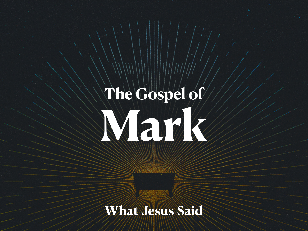# **The Gospel of Mary 1999**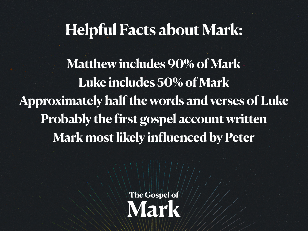#### **Helpful Facts about Mark:**

**Matthew includes 90% of Mark Luke includes 50% of Mark Approximately half the words and verses of Luke Probably the first gospel account written Mark most likely influenced by Peter**

> **The Gospel of Mark**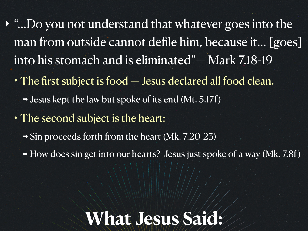‣ "…Do you not understand that whatever goes into the man from outside cannot defile him, because it… [goes] into his stomach and is eliminated"— Mark 7.18-19

- The first subject is food Jesus declared all food clean.
	- ➡ Jesus kept the law but spoke of its end (Mt. 5.17f)
- The second subject is the heart:
	- ➡ Sin proceeds forth from the heart (Mk. 7.20-23)
	- ➡ How does sin get into our hearts? Jesus just spoke of a way (Mk. 7.8f)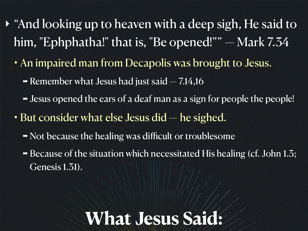- ‣ "And looking up to heaven with a deep sigh, He said to him, "Ephphatha!" that is, "Be opened!"" - Mark 7.34
	- An impaired man from Decapolis was brought to Jesus.
		- $\rightarrow$  Remember what Jesus had just said  $-7.14,16$
		- Jesus opened the ears of a deaf man as a sign for people the people!
	- But consider what else Jesus did he sighed.
		- ➡ Not because the healing was difficult or troublesome
		- ➡ Because of the situation which necessitated His healing (cf. John 1.3; Genesis 1.31).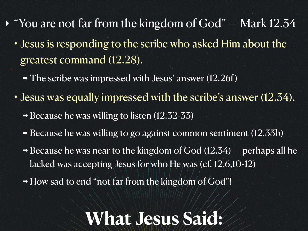- $\rightarrow$  "You are not far from the kingdom of God" Mark 12.34
	- Jesus is responding to the scribe who asked Him about the greatest command (12.28).
		- $\rightarrow$  The scribe was impressed with Jesus' answer (12.26f)
	- Jesus was equally impressed with the scribe's answer (12.34).
		- ➡ Because he was willing to listen (12.32-33)
		- Because he was willing to go against common sentiment (12.33b)
		- $\rightarrow$  Because he was near to the kingdom of God (12.34) perhaps all he lacked was accepting Jesus for who He was (cf. 12.6,10-12)
		- ➡ How sad to end "not far from the kingdom of God"!